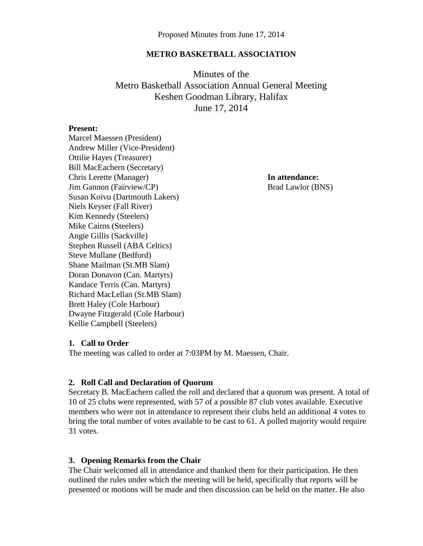#### **METRO BASKETBALL ASSOCIATION**

Minutes of the Metro Basketball Association Annual General Meeting Keshen Goodman Library, Halifax June 17, 2014

#### **Present:**

Marcel Maessen (President) Andrew Miller (Vice-President) Ottilie Hayes (Treasurer) Bill MacEachern (Secretary) Chris Lerette (Manager) **In attendance:** Jim Gannon (Fairview/CP) Brad Lawlor (BNS) Susan Koivu (Dartmouth Lakers) Niels Keyser (Fall River) Kim Kennedy (Steelers) Mike Cairns (Steelers) Angie Gillis (Sackville) Stephen Russell (ABA Celtics) Steve Mullane (Bedford) Shane Mailman (St.MB Slam) Doran Donavon (Can. Martyrs) Kandace Terris (Can. Martyrs) Richard MacLellan (St.MB Slam) Brett Haley (Cole Harbour) Dwayne Fitzgerald (Cole Harbour) Kellie Campbell (Steelers)

#### **1. Call to Order**

The meeting was called to order at 7:03PM by M. Maessen, Chair.

#### **2. Roll Call and Declaration of Quorum**

Secretary B. MacEachern called the roll and declared that a quorum was present. A total of 10 of 25 clubs were represented, with 57 of a possible 87 club votes available. Executive members who were not in attendance to represent their clubs held an additional 4 votes to bring the total number of votes available to be cast to 61. A polled majority would require 31 votes.

#### **3. Opening Remarks from the Chair**

The Chair welcomed all in attendance and thanked them for their participation. He then outlined the rules under which the meeting will be held, specifically that reports will be presented or motions will be made and then discussion can be held on the matter. He also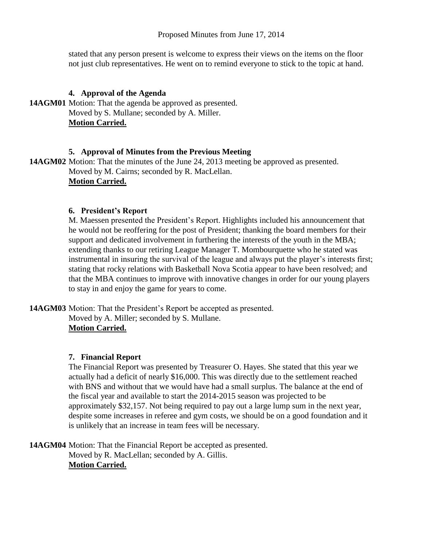Proposed Minutes from June 17, 2014

stated that any person present is welcome to express their views on the items on the floor not just club representatives. He went on to remind everyone to stick to the topic at hand.

# **4. Approval of the Agenda**

**14AGM01** Motion: That the agenda be approved as presented. Moved by S. Mullane; seconded by A. Miller. **Motion Carried.**

## **5. Approval of Minutes from the Previous Meeting**

**14AGM02** Motion: That the minutes of the June 24, 2013 meeting be approved as presented. Moved by M. Cairns; seconded by R. MacLellan. **Motion Carried.**

## **6. President's Report**

M. Maessen presented the President's Report. Highlights included his announcement that he would not be reoffering for the post of President; thanking the board members for their support and dedicated involvement in furthering the interests of the youth in the MBA; extending thanks to our retiring League Manager T. Mombourquette who he stated was instrumental in insuring the survival of the league and always put the player's interests first; stating that rocky relations with Basketball Nova Scotia appear to have been resolved; and that the MBA continues to improve with innovative changes in order for our young players to stay in and enjoy the game for years to come.

**14AGM03** Motion: That the President's Report be accepted as presented. Moved by A. Miller; seconded by S. Mullane.

# **Motion Carried.**

# **7. Financial Report**

The Financial Report was presented by Treasurer O. Hayes. She stated that this year we actually had a deficit of nearly \$16,000. This was directly due to the settlement reached with BNS and without that we would have had a small surplus. The balance at the end of the fiscal year and available to start the 2014-2015 season was projected to be approximately \$32,157. Not being required to pay out a large lump sum in the next year, despite some increases in referee and gym costs, we should be on a good foundation and it is unlikely that an increase in team fees will be necessary.

**14AGM04** Motion: That the Financial Report be accepted as presented. Moved by R. MacLellan; seconded by A. Gillis. **Motion Carried.**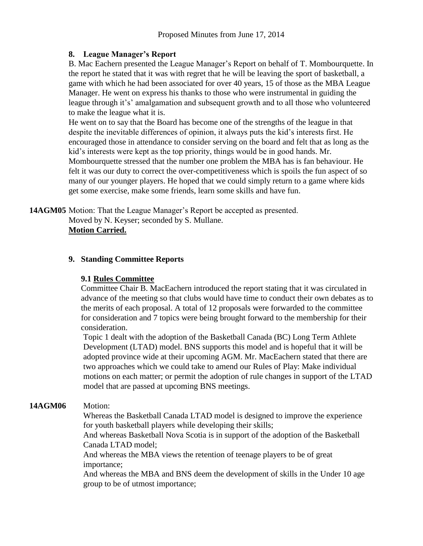# **8. League Manager's Report**

B. Mac Eachern presented the League Manager's Report on behalf of T. Mombourquette. In the report he stated that it was with regret that he will be leaving the sport of basketball, a game with which he had been associated for over 40 years, 15 of those as the MBA League Manager. He went on express his thanks to those who were instrumental in guiding the league through it's' amalgamation and subsequent growth and to all those who volunteered to make the league what it is.

He went on to say that the Board has become one of the strengths of the league in that despite the inevitable differences of opinion, it always puts the kid's interests first. He encouraged those in attendance to consider serving on the board and felt that as long as the kid's interests were kept as the top priority, things would be in good hands. Mr. Mombourquette stressed that the number one problem the MBA has is fan behaviour. He felt it was our duty to correct the over-competitiveness which is spoils the fun aspect of so many of our younger players. He hoped that we could simply return to a game where kids get some exercise, make some friends, learn some skills and have fun.

**14AGM05** Motion: That the League Manager's Report be accepted as presented. Moved by N. Keyser; seconded by S. Mullane.

**Motion Carried.**

# **9. Standing Committee Reports**

# **9.1 Rules Committee**

Committee Chair B. MacEachern introduced the report stating that it was circulated in advance of the meeting so that clubs would have time to conduct their own debates as to the merits of each proposal. A total of 12 proposals were forwarded to the committee for consideration and 7 topics were being brought forward to the membership for their consideration.

Topic 1 dealt with the adoption of the Basketball Canada (BC) Long Term Athlete Development (LTAD) model. BNS supports this model and is hopeful that it will be adopted province wide at their upcoming AGM. Mr. MacEachern stated that there are two approaches which we could take to amend our Rules of Play: Make individual motions on each matter; or permit the adoption of rule changes in support of the LTAD model that are passed at upcoming BNS meetings.

# **14AGM06** Motion:

Whereas the Basketball Canada LTAD model is designed to improve the experience for youth basketball players while developing their skills;

And whereas Basketball Nova Scotia is in support of the adoption of the Basketball Canada LTAD model;

And whereas the MBA views the retention of teenage players to be of great importance;

And whereas the MBA and BNS deem the development of skills in the Under 10 age group to be of utmost importance;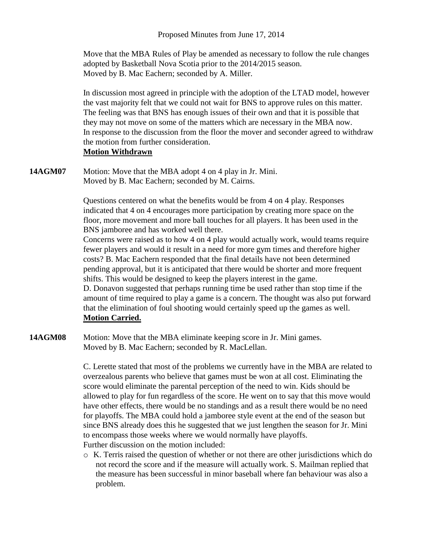Move that the MBA Rules of Play be amended as necessary to follow the rule changes adopted by Basketball Nova Scotia prior to the 2014/2015 season. Moved by B. Mac Eachern; seconded by A. Miller.

In discussion most agreed in principle with the adoption of the LTAD model, however the vast majority felt that we could not wait for BNS to approve rules on this matter. The feeling was that BNS has enough issues of their own and that it is possible that they may not move on some of the matters which are necessary in the MBA now. In response to the discussion from the floor the mover and seconder agreed to withdraw the motion from further consideration.

## **Motion Withdrawn**

**14AGM07** Motion: Move that the MBA adopt 4 on 4 play in Jr. Mini. Moved by B. Mac Eachern; seconded by M. Cairns.

> Questions centered on what the benefits would be from 4 on 4 play. Responses indicated that 4 on 4 encourages more participation by creating more space on the floor, more movement and more ball touches for all players. It has been used in the BNS jamboree and has worked well there.

Concerns were raised as to how 4 on 4 play would actually work, would teams require fewer players and would it result in a need for more gym times and therefore higher costs? B. Mac Eachern responded that the final details have not been determined pending approval, but it is anticipated that there would be shorter and more frequent shifts. This would be designed to keep the players interest in the game.

D. Donavon suggested that perhaps running time be used rather than stop time if the amount of time required to play a game is a concern. The thought was also put forward that the elimination of foul shooting would certainly speed up the games as well. **Motion Carried.**

**14AGM08** Motion: Move that the MBA eliminate keeping score in Jr. Mini games. Moved by B. Mac Eachern; seconded by R. MacLellan.

> C. Lerette stated that most of the problems we currently have in the MBA are related to overzealous parents who believe that games must be won at all cost. Eliminating the score would eliminate the parental perception of the need to win. Kids should be allowed to play for fun regardless of the score. He went on to say that this move would have other effects, there would be no standings and as a result there would be no need for playoffs. The MBA could hold a jamboree style event at the end of the season but since BNS already does this he suggested that we just lengthen the season for Jr. Mini to encompass those weeks where we would normally have playoffs. Further discussion on the motion included:

> o K. Terris raised the question of whether or not there are other jurisdictions which do not record the score and if the measure will actually work. S. Mailman replied that the measure has been successful in minor baseball where fan behaviour was also a problem.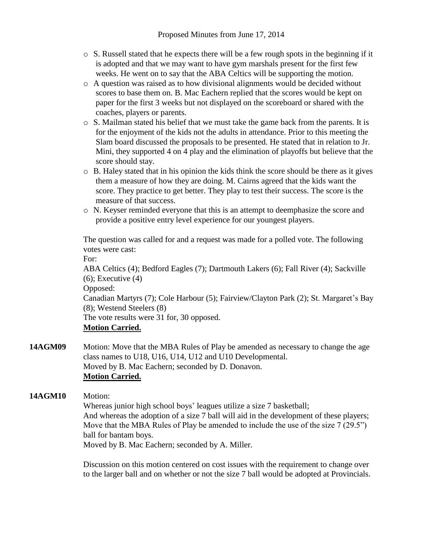- $\circ$  S. Russell stated that he expects there will be a few rough spots in the beginning if it is adopted and that we may want to have gym marshals present for the first few weeks. He went on to say that the ABA Celtics will be supporting the motion.
- o A question was raised as to how divisional alignments would be decided without scores to base them on. B. Mac Eachern replied that the scores would be kept on paper for the first 3 weeks but not displayed on the scoreboard or shared with the coaches, players or parents.
- $\circ$  S. Mailman stated his belief that we must take the game back from the parents. It is for the enjoyment of the kids not the adults in attendance. Prior to this meeting the Slam board discussed the proposals to be presented. He stated that in relation to Jr. Mini, they supported 4 on 4 play and the elimination of playoffs but believe that the score should stay.
- o B. Haley stated that in his opinion the kids think the score should be there as it gives them a measure of how they are doing. M. Cairns agreed that the kids want the score. They practice to get better. They play to test their success. The score is the measure of that success.
- o N. Keyser reminded everyone that this is an attempt to deemphasize the score and provide a positive entry level experience for our youngest players.

The question was called for and a request was made for a polled vote. The following votes were cast:

For:

ABA Celtics (4); Bedford Eagles (7); Dartmouth Lakers (6); Fall River (4); Sackville  $(6)$ ; Executive  $(4)$ 

Opposed:

Canadian Martyrs (7); Cole Harbour (5); Fairview/Clayton Park (2); St. Margaret's Bay (8); Westend Steelers (8)

The vote results were 31 for, 30 opposed.

# **Motion Carried.**

**14AGM09** Motion: Move that the MBA Rules of Play be amended as necessary to change the age class names to U18, U16, U14, U12 and U10 Developmental. Moved by B. Mac Eachern; seconded by D. Donavon. **Motion Carried.**

**14AGM10** Motion:

Whereas junior high school boys' leagues utilize a size 7 basketball; And whereas the adoption of a size 7 ball will aid in the development of these players; Move that the MBA Rules of Play be amended to include the use of the size 7 (29.5") ball for bantam boys.

Moved by B. Mac Eachern; seconded by A. Miller.

Discussion on this motion centered on cost issues with the requirement to change over to the larger ball and on whether or not the size 7 ball would be adopted at Provincials.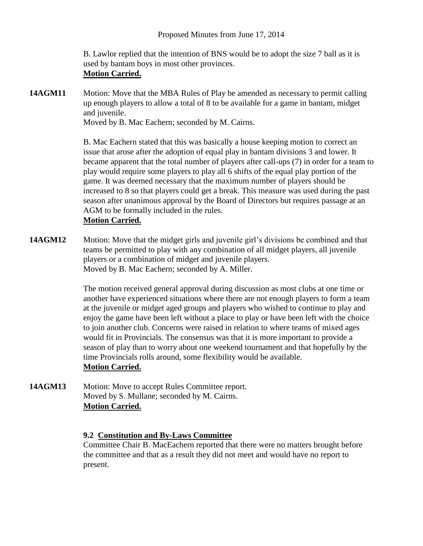B. Lawlor replied that the intention of BNS would be to adopt the size 7 ball as it is used by bantam boys in most other provinces. **Motion Carried.**

**14AGM11** Motion: Move that the MBA Rules of Play be amended as necessary to permit calling up enough players to allow a total of 8 to be available for a game in bantam, midget and juvenile.

Moved by B. Mac Eachern; seconded by M. Cairns.

B. Mac Eachern stated that this was basically a house keeping motion to correct an issue that arose after the adoption of equal play in bantam divisions 3 and lower. It became apparent that the total number of players after call-ups (7) in order for a team to play would require some players to play all 6 shifts of the equal play portion of the game. It was deemed necessary that the maximum number of players should be increased to 8 so that players could get a break. This measure was used during the past season after unanimous approval by the Board of Directors but requires passage at an AGM to be formally included in the rules.

# **Motion Carried.**

**14AGM12** Motion: Move that the midget girls and juvenile girl's divisions be combined and that teams be permitted to play with any combination of all midget players, all juvenile players or a combination of midget and juvenile players. Moved by B. Mac Eachern; seconded by A. Miller.

> The motion received general approval during discussion as most clubs at one time or another have experienced situations where there are not enough players to form a team at the juvenile or midget aged groups and players who wished to continue to play and enjoy the game have been left without a place to play or have been left with the choice to join another club. Concerns were raised in relation to where teams of mixed ages would fit in Provincials. The consensus was that it is more important to provide a season of play than to worry about one weekend tournament and that hopefully by the time Provincials rolls around, some flexibility would be available. **Motion Carried.**

**14AGM13** Motion: Move to accept Rules Committee report. Moved by S. Mullane; seconded by M. Cairns. **Motion Carried.**

## **9.2 Constitution and By-Laws Committee**

Committee Chair B. MacEachern reported that there were no matters brought before the committee and that as a result they did not meet and would have no report to present.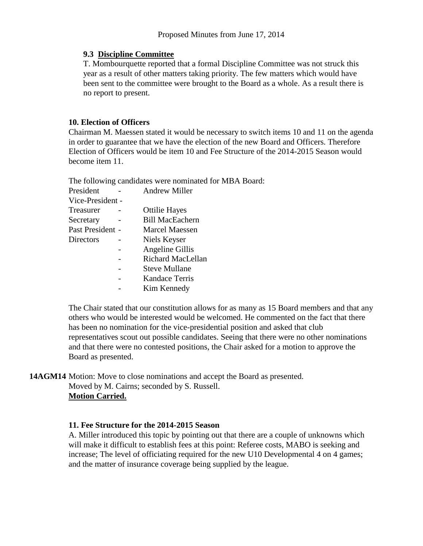#### **9.3 Discipline Committee**

T. Mombourquette reported that a formal Discipline Committee was not struck this year as a result of other matters taking priority. The few matters which would have been sent to the committee were brought to the Board as a whole. As a result there is no report to present.

## **10. Election of Officers**

Chairman M. Maessen stated it would be necessary to switch items 10 and 11 on the agenda in order to guarantee that we have the election of the new Board and Officers. Therefore Election of Officers would be item 10 and Fee Structure of the 2014-2015 Season would become item 11.

The following candidates were nominated for MBA Board:

| President        |  | <b>Andrew Miller</b>   |
|------------------|--|------------------------|
| Vice-President - |  |                        |
| Treasurer        |  | <b>Ottilie Hayes</b>   |
| Secretary        |  | <b>Bill MacEachern</b> |
| Past President - |  | Marcel Maessen         |
| Directors        |  | Niels Keyser           |
|                  |  | Angeline Gillis        |
|                  |  | Richard MacLellan      |
|                  |  | <b>Steve Mullane</b>   |
|                  |  | <b>Kandace Terris</b>  |
|                  |  | Kim Kennedy            |
|                  |  |                        |

The Chair stated that our constitution allows for as many as 15 Board members and that any others who would be interested would be welcomed. He commented on the fact that there has been no nomination for the vice-presidential position and asked that club representatives scout out possible candidates. Seeing that there were no other nominations and that there were no contested positions, the Chair asked for a motion to approve the Board as presented.

**14AGM14** Motion: Move to close nominations and accept the Board as presented.

Moved by M. Cairns; seconded by S. Russell. **Motion Carried.**

#### **11. Fee Structure for the 2014-2015 Season**

A. Miller introduced this topic by pointing out that there are a couple of unknowns which will make it difficult to establish fees at this point: Referee costs, MABO is seeking and increase; The level of officiating required for the new U10 Developmental 4 on 4 games; and the matter of insurance coverage being supplied by the league.